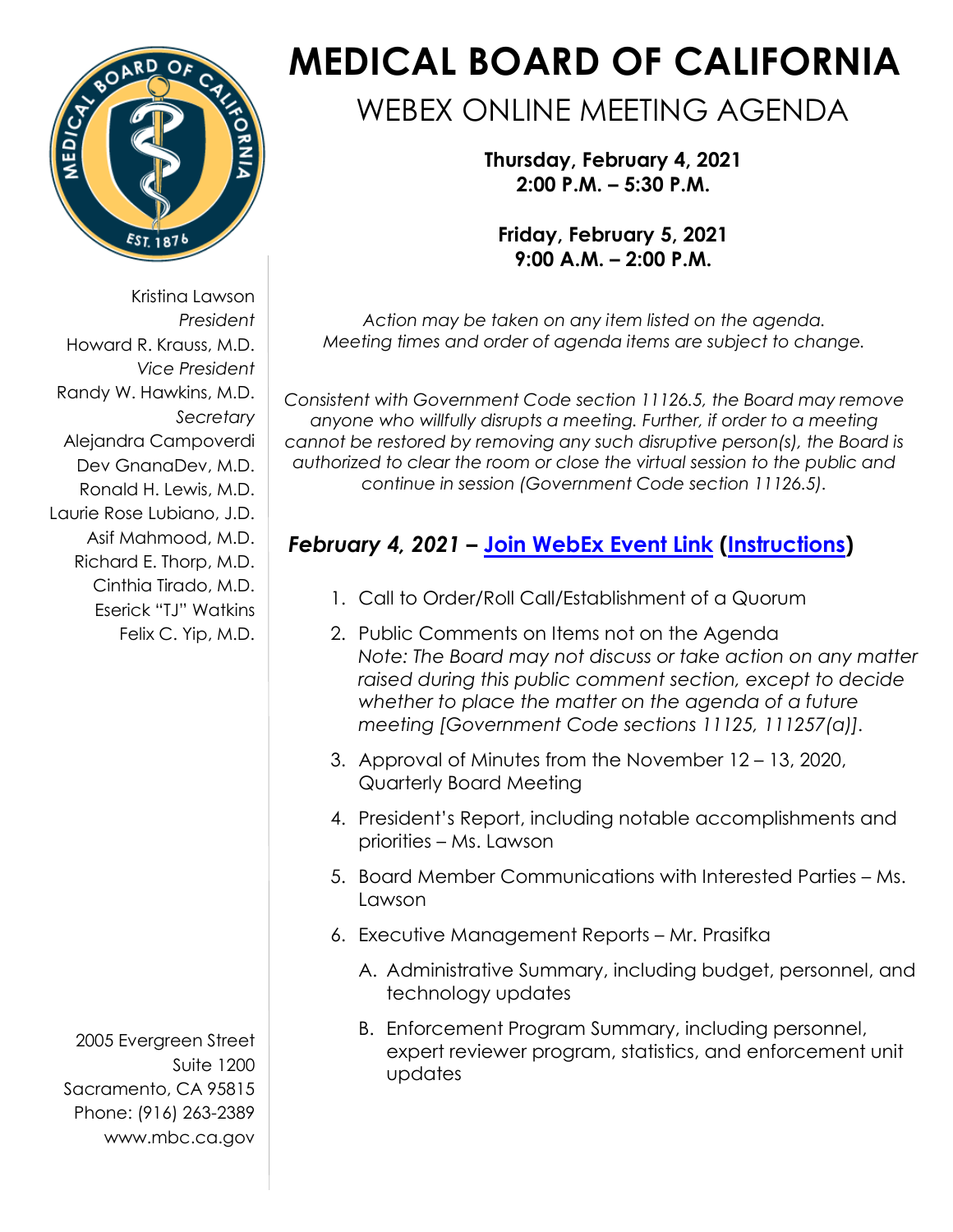

Kristina Lawson *President* Howard R. Krauss, M.D. *Vice President* Randy W. Hawkins, M.D. *Secretary* Alejandra Campoverdi Dev GnanaDev, M.D. Ronald H. Lewis, M.D. Laurie Rose Lubiano, J.D. Asif Mahmood, M.D. Richard E. Thorp, M.D. Cinthia Tirado, M.D. Eserick "TJ" Watkins Felix C. Yip, M.D.

2005 Evergreen Street Suite 1200 Sacramento, CA 95815 Phone: (916) 263-2389 [www.mbc.ca.gov](http://www.mbc.ca.gov/)

# **MEDICAL BOARD OF CALIFORNIA**

## WEBEX ONLINE MEETING AGENDA

**Thursday, February 4, 2021 2:00 P.M. – 5:30 P.M.**

**Friday, February 5, 2021 9:00 A.M. – 2:00 P.M.**

*Action may be taken on any item listed on the agenda. Meeting times and order of agenda items are subject to change.*

*Consistent with Government Code section 11126.5, the Board may remove anyone who willfully disrupts a meeting. Further, if order to a meeting cannot be restored by removing any such disruptive person(s), the Board is authorized to clear the room or close the virtual session to the public and continue in session (Government Code section 11126.5).* 

### *February 4, 2021* **– [Join WebEx Event Link](https://dca-meetings.webex.com/dca-meetings/onstage/g.php?MTID=e8a90e75c66fc5328e7fef139f5cd73f0) ([Instructions](https://www.mbc.ca.gov/Download/User-Guides/HowToJoinAWebExEvent.pdf))**

- 1. Call to Order/Roll Call/Establishment of a Quorum
- 2. Public Comments on Items not on the Agenda *Note: The Board may not discuss or take action on any matter raised during this public comment section, except to decide whether to place the matter on the agenda of a future meeting [Government Code sections 11125, 111257(a)].*
- 3. Approval of Minutes from the November 12 13, 2020, Quarterly Board Meeting
- 4. President's Report, including notable accomplishments and priorities – Ms. Lawson
- 5. Board Member Communications with Interested Parties Ms. Lawson
- 6. Executive Management Reports Mr. Prasifka
	- A. Administrative Summary, including budget, personnel, and technology updates
	- B. Enforcement Program Summary, including personnel, expert reviewer program, statistics, and enforcement unit updates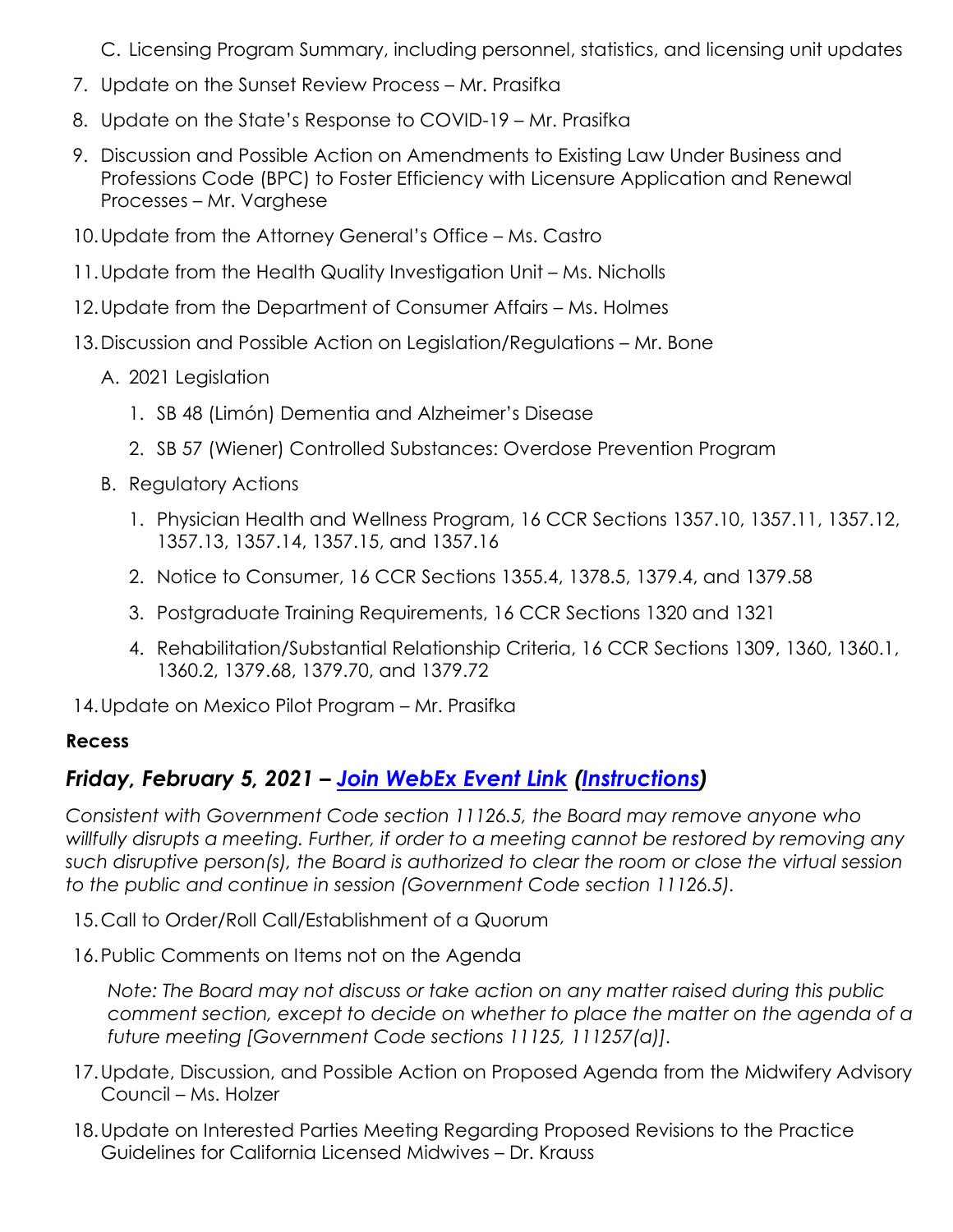C. Licensing Program Summary, including personnel, statistics, and licensing unit updates

- 7. Update on the Sunset Review Process Mr. Prasifka
- 8. Update on the State's Response to COVID-19 Mr. Prasifka
- 9. Discussion and Possible Action on Amendments to Existing Law Under Business and Professions Code (BPC) to Foster Efficiency with Licensure Application and Renewal Processes – Mr. Varghese
- 10.Update from the Attorney General's Office Ms. Castro
- 11.Update from the Health Quality Investigation Unit Ms. Nicholls
- 12.Update from the Department of Consumer Affairs Ms. Holmes
- 13.Discussion and Possible Action on Legislation/Regulations Mr. Bone
	- A. 2021 Legislation
		- 1. SB 48 (Limón) Dementia and Alzheimer's Disease
		- 2. SB 57 (Wiener) Controlled Substances: Overdose Prevention Program
	- B. Regulatory Actions
		- 1. Physician Health and Wellness Program, 16 CCR Sections 1357.10, 1357.11, 1357.12, 1357.13, 1357.14, 1357.15, and 1357.16
		- 2. Notice to Consumer, 16 CCR Sections 1355.4, 1378.5, 1379.4, and 1379.58
		- 3. Postgraduate Training Requirements, 16 CCR Sections 1320 and 1321
		- 4. Rehabilitation/Substantial Relationship Criteria, 16 CCR Sections 1309, 1360, 1360.1, 1360.2, 1379.68, 1379.70, and 1379.72
- 14.Update on Mexico Pilot Program Mr. Prasifka

#### **Recess**

#### *Friday, [February](https://dca-meetings.webex.com/dca-meetings/onstage/g.php?MTID=e8a90e75c66fc5328e7fef139f5cd73f0) 5, 2021 – [Join WebEx Event Link](https://dca-meetings.webex.com/dca-meetings/onstage/g.php?MTID=e8a90e75c66fc5328e7fef139f5cd73f0) [\(Instructions\)](https://www.mbc.ca.gov/Download/User-Guides/HowToJoinAWebExEvent.pdf)*

*Consistent with Government Code section 11126.5, the Board may remove anyone who willfully disrupts a meeting. Further, if order to a meeting cannot be restored by removing any such disruptive person(s), the Board is authorized to clear the room or close the virtual session to the public and continue in session (Government Code section 11126.5).* 

- 15.Call to Order/Roll Call/Establishment of a Quorum
- 16.Public Comments on Items not on the Agenda

*Note: The Board may not discuss or take action on any matter raised during this public comment section, except to decide on whether to place the matter on the agenda of a future meeting [Government Code sections 11125, 111257(a)].*

- 17.Update, Discussion, and Possible Action on Proposed Agenda from the Midwifery Advisory Council – Ms. Holzer
- 18.Update on Interested Parties Meeting Regarding Proposed Revisions to the Practice Guidelines for California Licensed Midwives – Dr. Krauss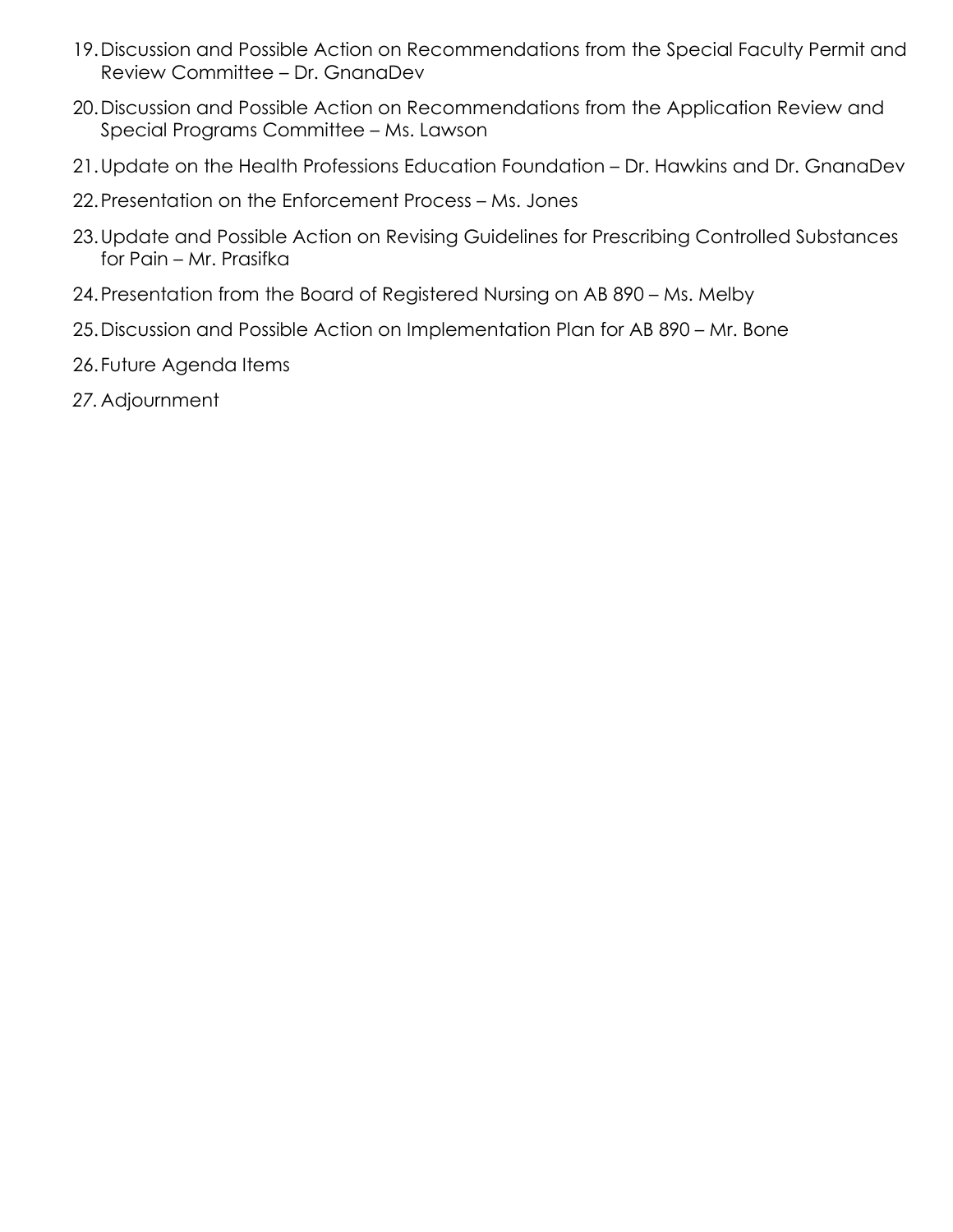- 19.Discussion and Possible Action on Recommendations from the Special Faculty Permit and Review Committee – Dr. GnanaDev
- 20.Discussion and Possible Action on Recommendations from the Application Review and Special Programs Committee – Ms. Lawson
- 21.Update on the Health Professions Education Foundation Dr. Hawkins and Dr. GnanaDev
- 22.Presentation on the Enforcement Process Ms. Jones
- 23.Update and Possible Action on Revising Guidelines for Prescribing Controlled Substances for Pain – Mr. Prasifka
- 24.Presentation from the Board of Registered Nursing on AB 890 Ms. Melby
- 25.Discussion and Possible Action on Implementation Plan for AB 890 Mr. Bone
- 26.Future Agenda Items
- *27.*Adjournment